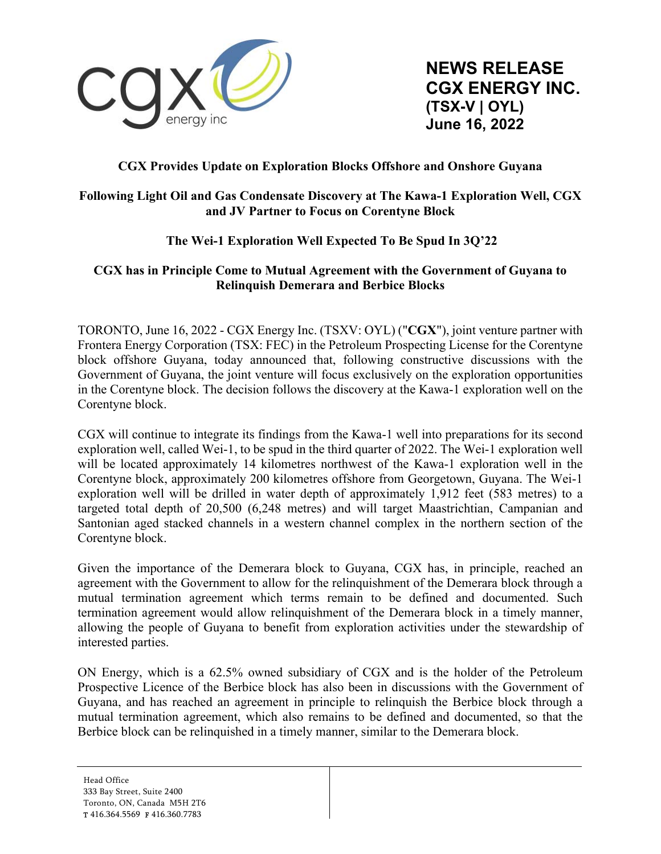

**NEWS RELEASE CGX ENERGY INC. (TSX-V | OYL) June 16, 2022** 

# **CGX Provides Update on Exploration Blocks Offshore and Onshore Guyana**

## **Following Light Oil and Gas Condensate Discovery at The Kawa-1 Exploration Well, CGX and JV Partner to Focus on Corentyne Block**

# **The Wei-1 Exploration Well Expected To Be Spud In 3Q'22**

## **CGX has in Principle Come to Mutual Agreement with the Government of Guyana to Relinquish Demerara and Berbice Blocks**

TORONTO, June 16, 2022 - CGX Energy Inc. (TSXV: OYL) ("**CGX**"), joint venture partner with Frontera Energy Corporation (TSX: FEC) in the Petroleum Prospecting License for the Corentyne block offshore Guyana, today announced that, following constructive discussions with the Government of Guyana, the joint venture will focus exclusively on the exploration opportunities in the Corentyne block. The decision follows the discovery at the Kawa-1 exploration well on the Corentyne block.

CGX will continue to integrate its findings from the Kawa-1 well into preparations for its second exploration well, called Wei-1, to be spud in the third quarter of 2022. The Wei-1 exploration well will be located approximately 14 kilometres northwest of the Kawa-1 exploration well in the Corentyne block, approximately 200 kilometres offshore from Georgetown, Guyana. The Wei-1 exploration well will be drilled in water depth of approximately 1,912 feet (583 metres) to a targeted total depth of 20,500 (6,248 metres) and will target Maastrichtian, Campanian and Santonian aged stacked channels in a western channel complex in the northern section of the Corentyne block.

Given the importance of the Demerara block to Guyana, CGX has, in principle, reached an agreement with the Government to allow for the relinquishment of the Demerara block through a mutual termination agreement which terms remain to be defined and documented. Such termination agreement would allow relinquishment of the Demerara block in a timely manner, allowing the people of Guyana to benefit from exploration activities under the stewardship of interested parties.

ON Energy, which is a 62.5% owned subsidiary of CGX and is the holder of the Petroleum Prospective Licence of the Berbice block has also been in discussions with the Government of Guyana, and has reached an agreement in principle to relinquish the Berbice block through a mutual termination agreement, which also remains to be defined and documented, so that the Berbice block can be relinquished in a timely manner, similar to the Demerara block.